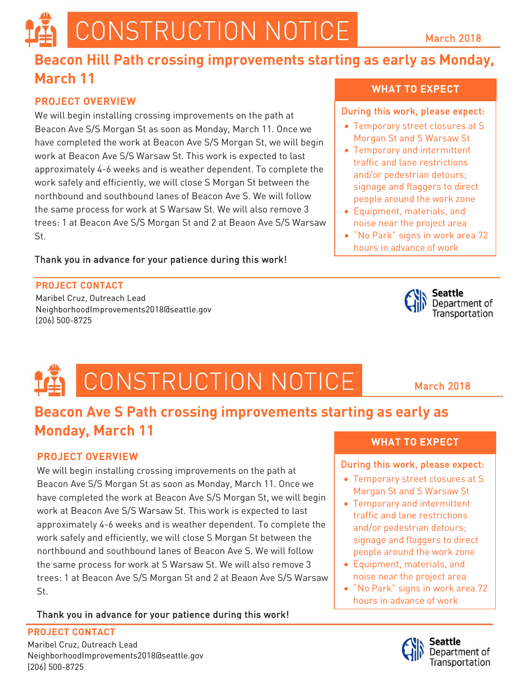# CONSTRUCTION NOTICE

### March 2018

# **Beacon Hill Path crossing improvements starting as early as Monday, March 11**

### **PROJECT OVERVIEW**

We will begin installing crossing improvements on the path at Beacon Ave S/S Morgan St as soon as Monday, March 11. Once we have completed the work at Beacon Ave S/S Morgan St, we will begin work at Beacon Ave S/S Warsaw St. This work is expected to last approximately 4-6 weeks and is weather dependent. To complete the work safely and efficiently, we will close S Morgan St between the northbound and southbound lanes of Beacon Ave S. We will follow the same process for work at S Warsaw St. We will also remove 3 trees: 1 at Beacon Ave S/S Morgan St and 2 at Beaon Ave S/S Warsaw St.

### Thank you in advance for your patience during this work!

### **PROJECT CONTACT**

Maribel Cruz, Outreach Lead NeighborhoodImprovements2018@seattle.gov (206) 500-8725

# CONSTRUCTION NOTICE

# **Beacon Ave S Path crossing improvements starting as early as Monday, March 11**

# **PROJECT OVERVIEW**

We will begin installing crossing improvements on the path at Beacon Ave S/S Morgan St as soon as Monday, March 11. Once we have completed the work at Beacon Ave S/S Morgan St, we will begin work at Beacon Ave S/S Warsaw St. This work is expected to last approximately 4-6 weeks and is weather dependent. To complete the work safely and efficiently, we will close S Morgan St between the northbound and southbound lanes of Beacon Ave S. We will follow the same process for work at S Warsaw St. We will also remove 3 trees: 1 at Beacon Ave S/S Morgan St and 2 at Beaon Ave S/S Warsaw St.

# Thank you in advance for your patience during this work!

#### **PROJECT CONTACT**

**FROSECT CONTACT**<br>Maribel Cruz, Outreach Lead NeighborhoodImprovements2018@seattle.gov (206) 500-8725

#### **WHAT TO EXPECT**

#### During this work, please expect:

- Temporary street closures at S Morgan St and S Warsaw St
- Temporary and intermittent traffic and lane restrictions and/or pedestrian detours; signage and flaggers to direct people around the work zone
- Equipment, materials, and noise near the project area

Ï

• "No Park" signs in work area 72 hours in advance of work



March 2018

# **WHAT TO EXPECT**

#### During this work, please expect:

- Temporary street closures at S Morgan St and S Warsaw St
- Temporary and intermittent traffic and lane restrictions and/or pedestrian detours; signage and flaggers to direct people around the work zone
- Equipment, materials, and noise near the project area

Ī

• "No Park" signs in work area 72 hours in advance of work